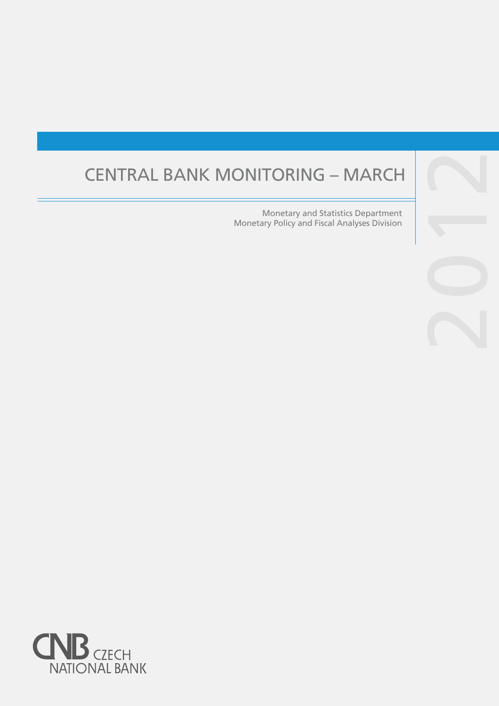# CENTRAL BANK MONITORING – MARCH

Monetary and Statistics Department Monetary Policy and Fiscal Analyses Division



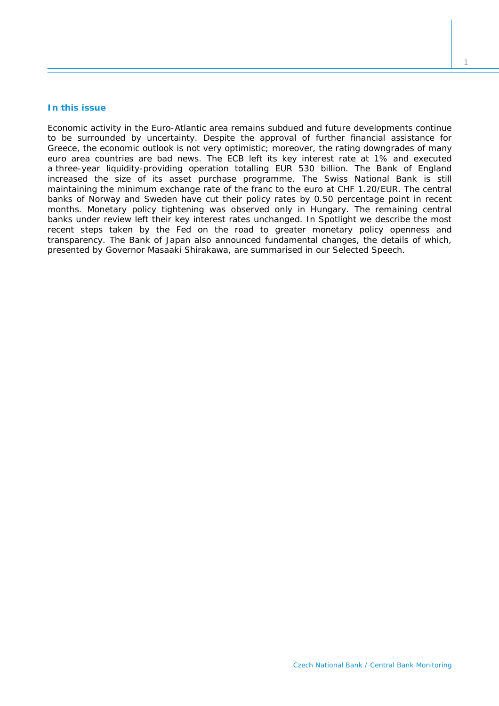# **In this issue**

*Economic activity in the Euro-Atlantic area remains subdued and future developments continue to be surrounded by uncertainty. Despite the approval of further financial assistance for Greece, the economic outlook is not very optimistic; moreover, the rating downgrades of many euro area countries are bad news. The ECB left its key interest rate at 1% and executed a three-year liquidity-providing operation totalling EUR 530 billion. The Bank of England increased the size of its asset purchase programme. The Swiss National Bank is still maintaining the minimum exchange rate of the franc to the euro at CHF 1.20/EUR. The central banks of Norway and Sweden have cut their policy rates by 0.50 percentage point in recent months. Monetary policy tightening was observed only in Hungary. The remaining central banks under review left their key interest rates unchanged. In* Spotlight *we describe the most recent steps taken by the Fed on the road to greater monetary policy openness and transparency. The Bank of Japan also announced fundamental changes, the details of which, presented by Governor Masaaki Shirakawa, are summarised in our* Selected Speech*.*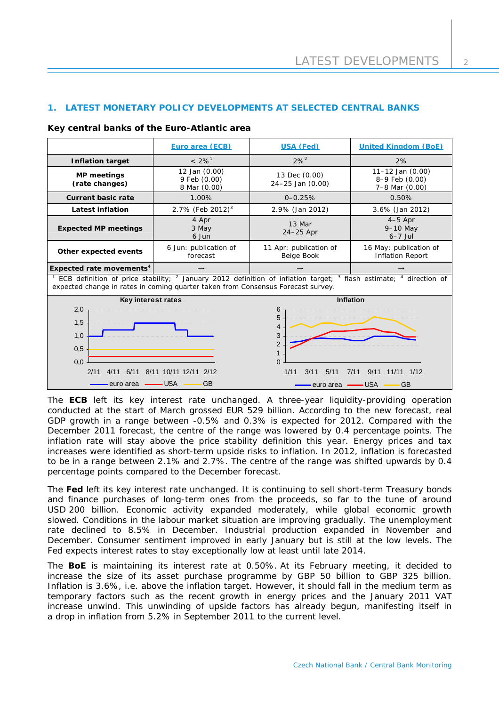# **1. LATEST MONETARY POLICY DEVELOPMENTS AT SELECTED CENTRAL BANKS**

### **Key central banks of the Euro-Atlantic area**

|                                                                                                                                                                                                                                                                                                 | Euro area (ECB)                               | <b>USA (Fed)</b>                     | <b>United Kingdom (BoE)</b>                                |  |
|-------------------------------------------------------------------------------------------------------------------------------------------------------------------------------------------------------------------------------------------------------------------------------------------------|-----------------------------------------------|--------------------------------------|------------------------------------------------------------|--|
| <b>Inflation target</b>                                                                                                                                                                                                                                                                         | $< 2\%$ <sup>1</sup>                          | $2\%^{2}$                            | 2%                                                         |  |
| <b>MP</b> meetings<br>(rate changes)                                                                                                                                                                                                                                                            | 12 Jan (0.00)<br>9 Feb (0.00)<br>8 Mar (0.00) | 13 Dec (0.00)<br>24-25 Jan (0.00)    | $11 - 12$ Jan $(0.00)$<br>8-9 Feb (0.00)<br>7-8 Mar (0.00) |  |
| <b>Current basic rate</b>                                                                                                                                                                                                                                                                       | 1.00%                                         | $0 - 0.25%$                          | 0.50%                                                      |  |
| <b>Latest inflation</b>                                                                                                                                                                                                                                                                         | 2.7% (Feb 2012) <sup>3</sup>                  | 2.9% (Jan 2012)                      | 3.6% (Jan 2012)                                            |  |
| <b>Expected MP meetings</b>                                                                                                                                                                                                                                                                     | 4 Apr<br>3 May<br>6 Jun                       | 13 Mar<br>$24-25$ Apr                | $4-5$ Apr<br>$9-10$ May<br>$6-7$ Jul                       |  |
| Other expected events                                                                                                                                                                                                                                                                           | 6 Jun: publication of<br>forecast             | 11 Apr: publication of<br>Beige Book | 16 May: publication of<br><b>Inflation Report</b>          |  |
| Expected rate movements <sup>4</sup>                                                                                                                                                                                                                                                            | $\rightarrow$                                 |                                      |                                                            |  |
| ECB definition of price stability; <sup>2</sup> January 2012 definition of inflation target; <sup>3</sup> flash estimate; <sup>4</sup> direction of<br>expected change in rates in coming quarter taken from Consensus Forecast survey.                                                         |                                               |                                      |                                                            |  |
| <b>Inflation</b><br>Key interest rates<br>2,0<br>6<br>5<br>1,5<br>1,0<br>3<br>$\overline{2}$<br>0,5<br>$\mathbf 1$<br>0,0<br>$\Omega$<br>2/11<br>1/11<br>3/11<br>9/11<br>4/11<br>6/11<br>8/11 10/11 12/11<br>5/11<br>2/12<br>7/11<br><b>USA</b><br><b>GB</b><br>euro area<br>– USA<br>euro area |                                               | 1/12<br>11/11<br><b>GB</b>           |                                                            |  |

The **ECB** left its key interest rate unchanged. A three-year liquidity-providing operation conducted at the start of March grossed EUR 529 billion. According to the new forecast, real GDP growth in a range between -0.5% and 0.3% is expected for 2012. Compared with the December 2011 forecast, the centre of the range was lowered by 0.4 percentage points. The inflation rate will stay above the price stability definition this year. Energy prices and tax increases were identified as short-term upside risks to inflation. In 2012, inflation is forecasted to be in a range between 2.1% and 2.7%. The centre of the range was shifted upwards by 0.4 percentage points compared to the December forecast.

The **Fed** left its key interest rate unchanged. It is continuing to sell short-term Treasury bonds and finance purchases of long-term ones from the proceeds, so far to the tune of around USD 200 billion. Economic activity expanded moderately, while global economic growth slowed. Conditions in the labour market situation are improving gradually. The unemployment rate declined to 8.5% in December. Industrial production expanded in November and December. Consumer sentiment improved in early January but is still at the low levels. The Fed expects interest rates to stay exceptionally low at least until late 2014.

The **BoE** is maintaining its interest rate at 0.50%. At its February meeting, it decided to increase the size of its asset purchase programme by GBP 50 billion to GBP 325 billion. Inflation is 3.6%, i.e. above the inflation target. However, it should fall in the medium term as temporary factors such as the recent growth in energy prices and the January 2011 VAT increase unwind. This unwinding of upside factors has already begun, manifesting itself in a drop in inflation from 5.2% in September 2011 to the current level.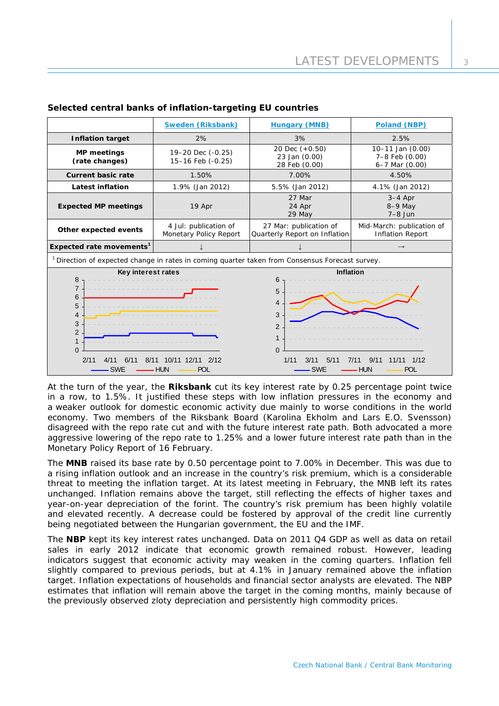|                                                                                                                                                                                                      | <b>Sweden (Riksbank)</b>                                                                                   | <b>Hungary (MNB)</b>                                                                                            | Poland (NBP)                                               |  |  |
|------------------------------------------------------------------------------------------------------------------------------------------------------------------------------------------------------|------------------------------------------------------------------------------------------------------------|-----------------------------------------------------------------------------------------------------------------|------------------------------------------------------------|--|--|
| <b>Inflation target</b>                                                                                                                                                                              | 2%                                                                                                         | 3%                                                                                                              | 2.5%                                                       |  |  |
| <b>MP</b> meetings<br>(rate changes)                                                                                                                                                                 | 19-20 Dec (-0.25)<br>15-16 Feb (-0.25)                                                                     | 20 Dec $(+0.50)$<br>23 Jan (0.00)<br>28 Feb (0.00)                                                              | 10-11 Jan (0.00)<br>7-8 Feb (0.00)<br>$6 - 7$ Mar $(0.00)$ |  |  |
| <b>Current basic rate</b>                                                                                                                                                                            | 1.50%                                                                                                      | 7.00%                                                                                                           | 4.50%                                                      |  |  |
| Latest inflation                                                                                                                                                                                     | 1.9% (Jan 2012)                                                                                            | 5.5% (Jan 2012)                                                                                                 | 4.1% (Jan 2012)                                            |  |  |
| <b>Expected MP meetings</b>                                                                                                                                                                          | 19 Apr                                                                                                     | 27 Mar<br>24 Apr<br>29 May                                                                                      | $3-4$ Apr<br>8-9 May<br>$7-8$ Jun                          |  |  |
| Other expected events                                                                                                                                                                                | 4 Jul: publication of<br>Monetary Policy Report                                                            | 27 Mar: publication of<br>Quarterly Report on Inflation                                                         | Mid-March: publication of<br><b>Inflation Report</b>       |  |  |
| Expected rate movements <sup>1</sup>                                                                                                                                                                 |                                                                                                            |                                                                                                                 | $\rightarrow$                                              |  |  |
|                                                                                                                                                                                                      | <sup>1</sup> Direction of expected change in rates in coming quarter taken from Consensus Forecast survey. |                                                                                                                 |                                                            |  |  |
| Key interest rates<br>8<br>$\overline{7}$<br>6<br>5<br>4<br>3<br>$\overline{2}$<br>$\mathbf{1}$<br>$\Omega$<br>2/11<br>10/11 12/11 2/12<br>4/11<br>6/11<br>8/11<br>– HUN<br><b>SWE</b><br><b>POL</b> |                                                                                                            | Inflation<br>6<br>5<br>$\overline{\mathbf{4}}$<br>3<br>2<br>1<br>$\Omega$<br>3/11<br>5/11<br>1/11<br><b>SWE</b> | 9/11<br>1/12<br>7/11<br>11/11<br><b>HUN</b><br><b>POL</b>  |  |  |

# **Selected central banks of inflation-targeting EU countries**

At the turn of the year, the **Riksbank** cut its key interest rate by 0.25 percentage point twice in a row, to 1.5%. It justified these steps with low inflation pressures in the economy and a weaker outlook for domestic economic activity due mainly to worse conditions in the world economy. Two members of the Riksbank Board (Karolina Ekholm and Lars E.O. Svensson) disagreed with the repo rate cut and with the future interest rate path. Both advocated a more aggressive lowering of the repo rate to 1.25% and a lower future interest rate path than in the Monetary Policy Report of 16 February.

The **MNB** raised its base rate by 0.50 percentage point to 7.00% in December. This was due to a rising inflation outlook and an increase in the country's risk premium, which is a considerable threat to meeting the inflation target. At its latest meeting in February, the MNB left its rates unchanged. Inflation remains above the target, still reflecting the effects of higher taxes and year-on-year depreciation of the forint. The country's risk premium has been highly volatile and elevated recently. A decrease could be fostered by approval of the credit line currently being negotiated between the Hungarian government, the EU and the IMF.

The **NBP** kept its key interest rates unchanged. Data on 2011 Q4 GDP as well as data on retail sales in early 2012 indicate that economic growth remained robust. However, leading indicators suggest that economic activity may weaken in the coming quarters. Inflation fell slightly compared to previous periods, but at 4.1% in January remained above the inflation target. Inflation expectations of households and financial sector analysts are elevated. The NBP estimates that inflation will remain above the target in the coming months, mainly because of the previously observed zloty depreciation and persistently high commodity prices.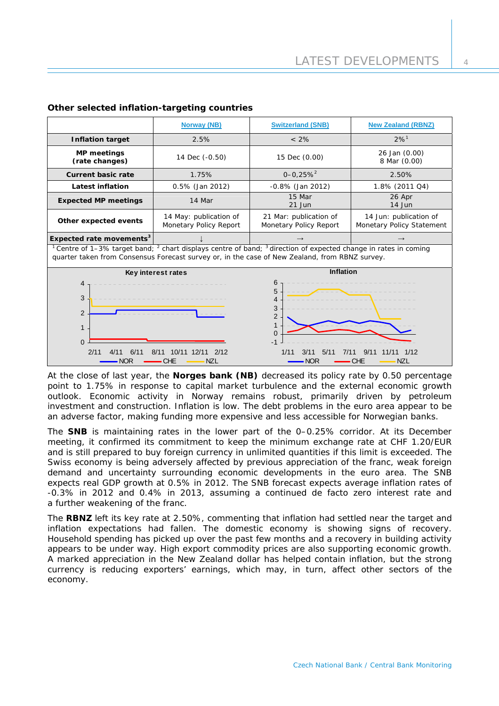$\overline{A}$ 

|                                                                                                                                                                                                                                            | <b>Norway (NB)</b>                               | <b>Switzerland (SNB)</b>                                                                                          | <b>New Zealand (RBNZ)</b>                           |  |
|--------------------------------------------------------------------------------------------------------------------------------------------------------------------------------------------------------------------------------------------|--------------------------------------------------|-------------------------------------------------------------------------------------------------------------------|-----------------------------------------------------|--|
| <b>Inflation target</b>                                                                                                                                                                                                                    | 2.5%                                             | $< 2\%$                                                                                                           | $2%^{1}$                                            |  |
| <b>MP</b> meetings<br>(rate changes)                                                                                                                                                                                                       | 14 Dec (-0.50)                                   | 15 Dec (0.00)                                                                                                     | 26 Jan (0.00)<br>8 Mar (0.00)                       |  |
| <b>Current basic rate</b>                                                                                                                                                                                                                  | 1.75%                                            | $0 - 0.25%$ <sup>2</sup>                                                                                          | 2.50%                                               |  |
| Latest inflation                                                                                                                                                                                                                           | 0.5% (Jan 2012)                                  | $-0.8\%$ (Jan 2012)                                                                                               | 1.8% (2011 Q4)                                      |  |
| <b>Expected MP meetings</b>                                                                                                                                                                                                                | 14 Mar                                           | 15 Mar<br>21 Jun                                                                                                  | 26 Apr<br>14 Jun                                    |  |
| Other expected events                                                                                                                                                                                                                      | 14 May: publication of<br>Monetary Policy Report | 21 Mar: publication of<br>Monetary Policy Report                                                                  | 14 Jun: publication of<br>Monetary Policy Statement |  |
| Expected rate movements <sup>3</sup>                                                                                                                                                                                                       |                                                  |                                                                                                                   | $\rightarrow$                                       |  |
| <sup>1</sup> Centre of 1–3% target band; <sup>2</sup> chart displays centre of band; $3$ direction of expected change in rates in coming<br>quarter taken from Consensus Forecast survey or, in the case of New Zealand, from RBNZ survey. |                                                  |                                                                                                                   |                                                     |  |
| Key interest rates                                                                                                                                                                                                                         |                                                  | <b>Inflation</b>                                                                                                  |                                                     |  |
| 4<br>3<br>$\overline{2}$<br>$\mathbf{1}$<br>$\Omega$<br>2/11<br>10/11 12/11<br>2/12<br>6/11<br>R/11<br><b>NZL</b><br>NOR<br>CHE                                                                                                            |                                                  | 6<br>5<br>4<br>3<br>$\overline{2}$<br>$\overline{1}$<br>$\mathbf 0$<br>$-1$<br>1/11<br>5/11<br>3/11<br><b>NOR</b> | <b>NZL</b><br>CHE                                   |  |

# **Other selected inflation-targeting countries**

At the close of last year, the **Norges bank (NB)** decreased its policy rate by 0.50 percentage point to 1.75% in response to capital market turbulence and the external economic growth outlook. Economic activity in Norway remains robust, primarily driven by petroleum investment and construction. Inflation is low. The debt problems in the euro area appear to be an adverse factor, making funding more expensive and less accessible for Norwegian banks.

The **SNB** is maintaining rates in the lower part of the 0–0.25% corridor. At its December meeting, it confirmed its commitment to keep the minimum exchange rate at CHF 1.20/EUR and is still prepared to buy foreign currency in unlimited quantities if this limit is exceeded. The Swiss economy is being adversely affected by previous appreciation of the franc, weak foreign demand and uncertainty surrounding economic developments in the euro area. The SNB expects real GDP growth at 0.5% in 2012. The SNB forecast expects average inflation rates of -0.3% in 2012 and 0.4% in 2013, assuming a continued de facto zero interest rate and a further weakening of the franc.

The **RBNZ** left its key rate at 2.50%, commenting that inflation had settled near the target and inflation expectations had fallen. The domestic economy is showing signs of recovery. Household spending has picked up over the past few months and a recovery in building activity appears to be under way. High export commodity prices are also supporting economic growth. A marked appreciation in the New Zealand dollar has helped contain inflation, but the strong currency is reducing exporters' earnings, which may, in turn, affect other sectors of the economy.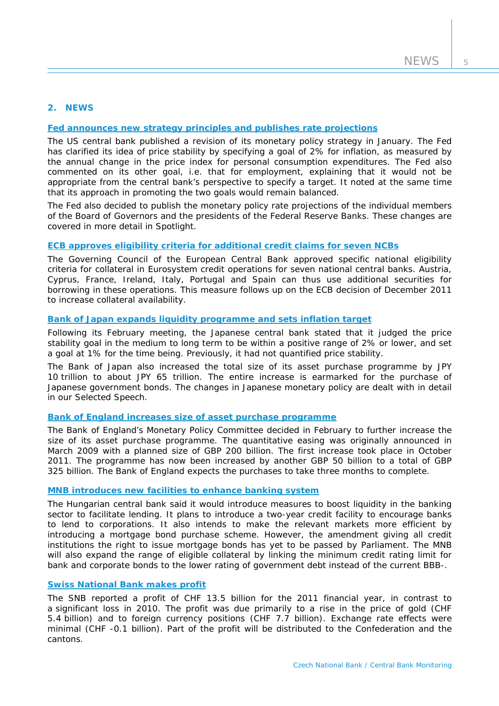# **2. NEWS**

## **[Fed announces new strategy principles and publishes rate projections](http://www.federalreserve.gov/newsevents/press/monetary/20120125c.htm)**

The US central bank published a revision of its monetary policy strategy in January. The Fed has clarified its idea of price stability by specifying a goal of 2% for inflation, as measured by the annual change in the price index for personal consumption expenditures. The Fed also commented on its other goal, i.e. that for employment, explaining that it would not be appropriate from the central bank's perspective to specify a target. It noted at the same time that its approach in promoting the two goals would remain balanced.

The Fed also decided to publish the monetary policy rate projections of the individual members of the Board of Governors and the presidents of the Federal Reserve Banks. These changes are covered in more detail in *Spotlight*.

#### **[ECB approves eligibility criteria for additional credit claims for seven NCBs](http://www.ecb.int/press/pr/date/2012/html/pr120209_2.en.html)**

The Governing Council of the European Central Bank approved specific national eligibility criteria for collateral in Eurosystem credit operations for seven national central banks. Austria, Cyprus, France, Ireland, Italy, Portugal and Spain can thus use additional securities for borrowing in these operations. This measure follows up on the ECB decision of December 2011 to increase collateral availability.

## **[Bank of Japan expands liquidity programme and sets inflation target](http://www.boj.or.jp/en/announcements/release_2012/k120214a.pdf)**

Following its February meeting, the Japanese central bank stated that it judged the price stability goal in the medium to long term to be within a positive range of 2% or lower, and set a goal at 1% for the time being. Previously, it had not quantified price stability.

The Bank of Japan also increased the total size of its asset purchase programme by JPY 10 trillion to about JPY 65 trillion. The entire increase is earmarked for the purchase of Japanese government bonds. The changes in Japanese monetary policy are dealt with in detail in our *Selected Speech*.

# **[Bank of England increases size of asset purchase programme](http://www.bankofengland.co.uk/publications/news/2012/008.htm)**

The Bank of England's Monetary Policy Committee decided in February to further increase the size of its asset purchase programme. The quantitative easing was originally announced in March 2009 with a planned size of GBP 200 billion. The first increase took place in October 2011. The programme has now been increased by another GBP 50 billion to a total of GBP 325 billion. The Bank of England expects the purchases to take three months to complete.

## **[MNB introduces new facilities to enhance banking system](http://english.mnb.hu/Sajtoszoba/online/mnben_pressreleases/mnben_pressreleases_2012/mnben_sajtokozlemeny_20120215)**

The Hungarian central bank said it would introduce measures to boost liquidity in the banking sector to facilitate lending. It plans to introduce a two-year credit facility to encourage banks to lend to corporations. It also intends to make the relevant markets more efficient by introducing a mortgage bond purchase scheme. However, the amendment giving all credit institutions the right to issue mortgage bonds has yet to be passed by Parliament. The MNB will also expand the range of eligible collateral by linking the minimum credit rating limit for bank and corporate bonds to the lower rating of government debt instead of the current BBB-.

# **[Swiss National Bank makes profit](http://www.snb.ch/en/mmr/reference/pre_20120308/source/pre_20120308.en.pdf)**

The SNB reported a profit of CHF 13.5 billion for the 2011 financial year, in contrast to a significant loss in 2010. The profit was due primarily to a rise in the price of gold (CHF 5.4 billion) and to foreign currency positions (CHF 7.7 billion). Exchange rate effects were minimal (CHF -0.1 billion). Part of the profit will be distributed to the Confederation and the cantons.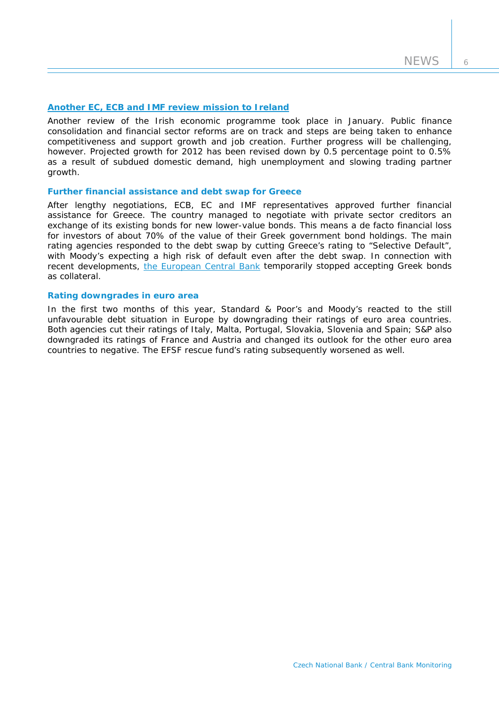6

## **Another EC, ECB and IMF [review mission to Ireland](http://www.ecb.europa.eu/press/pr/date/2012/html/pr120119_1.en.html)**

Another review of the Irish economic programme took place in January. Public finance consolidation and financial sector reforms are on track and steps are being taken to enhance competitiveness and support growth and job creation. Further progress will be challenging, however. Projected growth for 2012 has been revised down by 0.5 percentage point to 0.5% as a result of subdued domestic demand, high unemployment and slowing trading partner growth.

### **Further financial assistance and debt swap for Greece**

After lengthy negotiations, ECB, EC and IMF representatives approved further financial assistance for Greece. The country managed to negotiate with private sector creditors an exchange of its existing bonds for new lower-value bonds. This means a de facto financial loss for investors of about 70% of the value of their Greek government bond holdings. The main rating agencies responded to the debt swap by cutting Greece's rating to "Selective Default", with Moody's expecting a high risk of default even after the debt swap. In connection with recent developments, [the European Central Bank](http://www.ecb.int/press/pr/date/2012/html/pr120228.en.html) temporarily stopped accepting Greek bonds as collateral.

# **Rating downgrades in euro area**

In the first two months of this year, Standard & Poor's and Moody's reacted to the still unfavourable debt situation in Europe by downgrading their ratings of euro area countries. Both agencies cut their ratings of Italy, Malta, Portugal, Slovakia, Slovenia and Spain; S&P also downgraded its ratings of France and Austria and changed its outlook for the other euro area countries to negative. The EFSF rescue fund's rating subsequently worsened as well.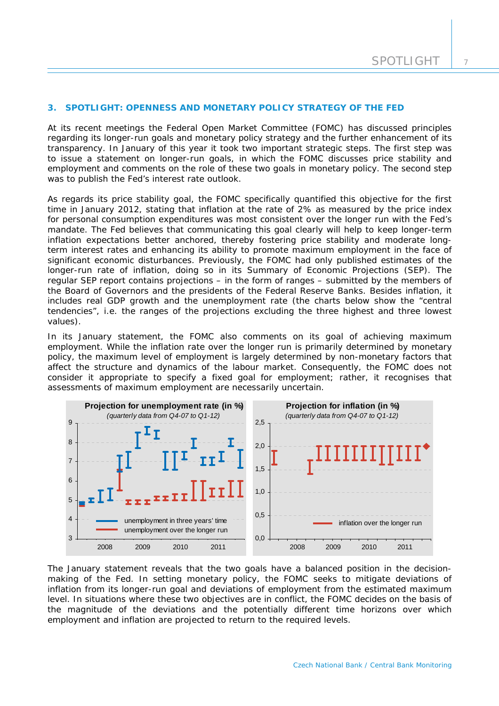## **3. SPOTLIGHT: OPENNESS AND MONETARY POLICY STRATEGY OF THE FED**

*At its recent meetings the Federal Open Market Committee (FOMC) has discussed principles regarding its longer-run goals and monetary policy strategy and the further enhancement of its transparency. In January of this year it took two important strategic steps. The first step was to issue a statement on longer-run goals, in which the FOMC discusses price stability and employment and comments on the role of these two goals in monetary policy. The second step was to publish the Fed's interest rate outlook.* 

As regards its price stability goal, the FOMC specifically quantified this objective for the first time in January 2012, stating that inflation at the rate of 2% as measured by the price index for personal consumption expenditures was most consistent over the longer run with the Fed's mandate. The Fed believes that communicating this goal clearly will help to keep longer-term inflation expectations better anchored, thereby fostering price stability and moderate longterm interest rates and enhancing its ability to promote maximum employment in the face of significant economic disturbances. Previously, the FOMC had only published estimates of the longer-run rate of inflation, doing so in its Summary of Economic Projections (SEP). The regular SEP report contains projections – in the form of ranges – submitted by the members of the Board of Governors and the presidents of the Federal Reserve Banks. Besides inflation, it includes real GDP growth and the unemployment rate (the charts below show the "central tendencies", i.e. the ranges of the projections excluding the three highest and three lowest values).

In its January statement, the FOMC also comments on its goal of achieving maximum employment. While the inflation rate over the longer run is primarily determined by monetary policy, the maximum level of employment is largely determined by non-monetary factors that affect the structure and dynamics of the labour market. Consequently, the FOMC does not consider it appropriate to specify a fixed goal for employment; rather, it recognises that assessments of maximum employment are necessarily uncertain.



The January statement reveals that the two goals have a balanced position in the decisionmaking of the Fed. In setting monetary policy, the FOMC seeks to mitigate deviations of inflation from its longer-run goal and deviations of employment from the estimated maximum level. In situations where these two objectives are in conflict, the FOMC decides on the basis of the magnitude of the deviations and the potentially different time horizons over which employment and inflation are projected to return to the required levels.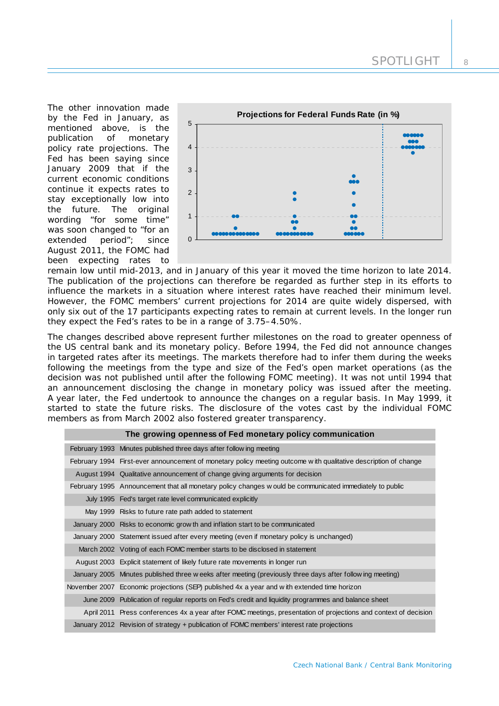The other innovation made by the Fed in January, as mentioned above, is the publication of monetary policy rate projections. The Fed has been saying since January 2009 that if the current economic conditions continue it expects rates to stay exceptionally low into the future. The original wording "for some time" was soon changed to "for an extended period"; since August 2011, the FOMC had been expecting rates to



remain low until mid-2013, and in January of this year it moved the time horizon to late 2014. The publication of the projections can therefore be regarded as further step in its efforts to influence the markets in a situation where interest rates have reached their minimum level. However, the FOMC members' current projections for 2014 are quite widely dispersed, with only six out of the 17 participants expecting rates to remain at current levels. In the longer run they expect the Fed's rates to be in a range of 3.75–4.50%.

The changes described above represent further milestones on the road to greater openness of the US central bank and its monetary policy. Before 1994, the Fed did not announce changes in targeted rates after its meetings. The markets therefore had to infer them during the weeks following the meetings from the type and size of the Fed's open market operations (as the decision was not published until after the following FOMC meeting). It was not until 1994 that an announcement disclosing the change in monetary policy was issued after the meeting. A year later, the Fed undertook to announce the changes on a regular basis. In May 1999, it started to state the future risks. The disclosure of the votes cast by the individual FOMC members as from March 2002 also fostered greater transparency.

| The growing openness of Fed monetary policy communication                                                       |
|-----------------------------------------------------------------------------------------------------------------|
| February 1993 Minutes published three days after following meeting                                              |
| February 1994 First-ever announcement of monetary policy meeting outcome with qualitative description of change |
| August 1994 Qualitative announcement of change giving arguments for decision                                    |
| February 1995 Announcement that all monetary policy changes w ould be communicated immediately to public        |
| July 1995 Fed's target rate level communicated explicitly                                                       |
| May 1999 Risks to future rate path added to statement                                                           |
| January 2000 Risks to economic grow th and inflation start to be communicated                                   |
| January 2000 Statement issued after every meeting (even if monetary policy is unchanged)                        |
| March 2002 Voting of each FOMC member starts to be disclosed in statement                                       |
| August 2003 Explicit statement of likely future rate movements in longer run                                    |
| January 2005 Minutes published three w eeks after meeting (previously three days after following meeting)       |
| November 2007 Economic projections (SEP) published 4x a year and with extended time horizon                     |
| June 2009 Publication of regular reports on Fed's credit and liquidity programmes and balance sheet             |
| April 2011 Press conferences 4x a year after FOMC meetings, presentation of projections and context of decision |
| January 2012 Revision of strategy + publication of FOMC members' interest rate projections                      |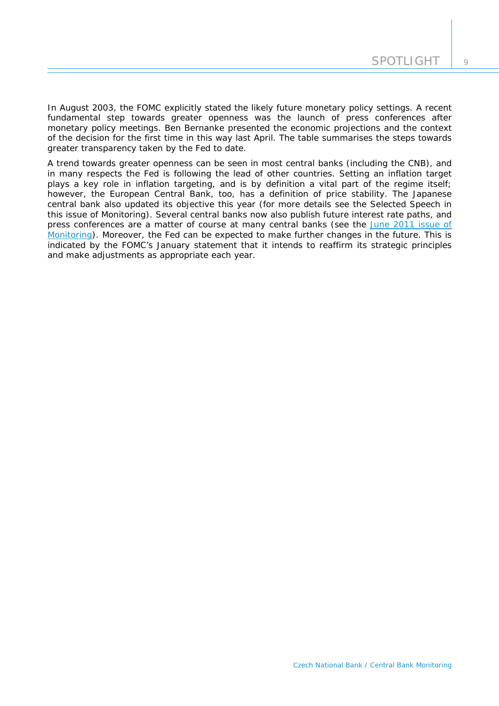$\overline{Q}$ 

In August 2003, the FOMC explicitly stated the likely future monetary policy settings. A recent fundamental step towards greater openness was the launch of press conferences after monetary policy meetings. Ben Bernanke presented the economic projections and the context of the decision for the first time in this way last April. The table summarises the steps towards greater transparency taken by the Fed to date.

A trend towards greater openness can be seen in most central banks (including the CNB), and in many respects the Fed is following the lead of other countries. Setting an inflation target plays a key role in inflation targeting, and is by definition a vital part of the regime itself; however, the European Central Bank, too, has a definition of price stability. The Japanese central bank also updated its objective this year (for more details see the *Selected Speech* in this issue of Monitoring). Several central banks now also publish future interest rate paths, and press conferences are a matter of course at many central banks (see the [June 2011 issue of](http://www.cnb.cz/miranda2/export/sites/www.cnb.cz/en/monetary_policy/monitoring/download/1102_cbm.pdf)  [Monitoring\)](http://www.cnb.cz/miranda2/export/sites/www.cnb.cz/en/monetary_policy/monitoring/download/1102_cbm.pdf). Moreover, the Fed can be expected to make further changes in the future. This is indicated by the FOMC's January statement that it intends to reaffirm its strategic principles and make adjustments as appropriate each year.